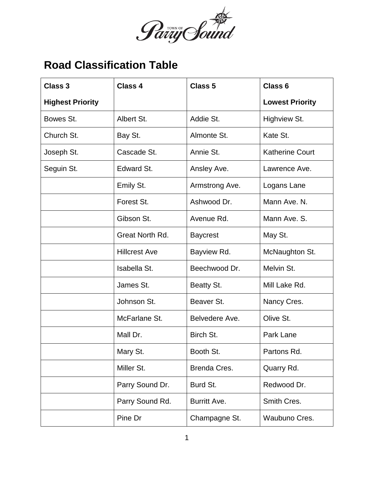

## **Road Classification Table**

| <b>Class 3</b>          | <b>Class 4</b>       | <b>Class 5</b>  | <b>Class 6</b>         |
|-------------------------|----------------------|-----------------|------------------------|
| <b>Highest Priority</b> |                      |                 | <b>Lowest Priority</b> |
| Bowes St.               | Albert St.           | Addie St.       | Highview St.           |
| Church St.              | Bay St.              | Almonte St.     | Kate St.               |
| Joseph St.              | Cascade St.          | Annie St.       | <b>Katherine Court</b> |
| Seguin St.              | Edward St.           | Ansley Ave.     | Lawrence Ave.          |
|                         | Emily St.            | Armstrong Ave.  | Logans Lane            |
|                         | Forest St.           | Ashwood Dr.     | Mann Ave. N.           |
|                         | Gibson St.           | Avenue Rd.      | Mann Ave. S.           |
|                         | Great North Rd.      | <b>Baycrest</b> | May St.                |
|                         | <b>Hillcrest Ave</b> | Bayview Rd.     | McNaughton St.         |
|                         | Isabella St.         | Beechwood Dr.   | Melvin St.             |
|                         | James St.            | Beatty St.      | Mill Lake Rd.          |
|                         | Johnson St.          | Beaver St.      | Nancy Cres.            |
|                         | McFarlane St.        | Belvedere Ave.  | Olive St.              |
|                         | Mall Dr.             | Birch St.       | Park Lane              |
|                         | Mary St.             | Booth St.       | Partons Rd.            |
|                         | Miller St.           | Brenda Cres.    | Quarry Rd.             |
|                         | Parry Sound Dr.      | Burd St.        | Redwood Dr.            |
|                         | Parry Sound Rd.      | Burritt Ave.    | Smith Cres.            |
|                         | Pine Dr              | Champagne St.   | Waubuno Cres.          |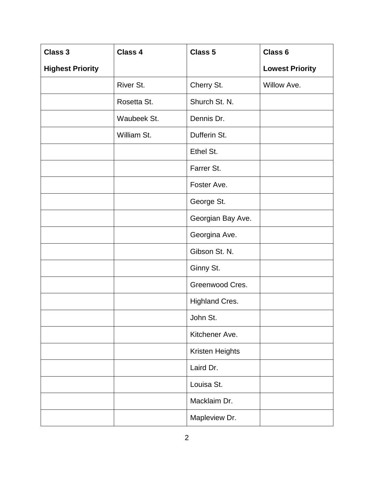| <b>Class 3</b>          | <b>Class 4</b> | <b>Class 5</b>        | Class 6                |
|-------------------------|----------------|-----------------------|------------------------|
| <b>Highest Priority</b> |                |                       | <b>Lowest Priority</b> |
|                         | River St.      | Cherry St.            | Willow Ave.            |
|                         | Rosetta St.    | Shurch St. N.         |                        |
|                         | Waubeek St.    | Dennis Dr.            |                        |
|                         | William St.    | Dufferin St.          |                        |
|                         |                | Ethel St.             |                        |
|                         |                | Farrer St.            |                        |
|                         |                | Foster Ave.           |                        |
|                         |                | George St.            |                        |
|                         |                | Georgian Bay Ave.     |                        |
|                         |                | Georgina Ave.         |                        |
|                         |                | Gibson St. N.         |                        |
|                         |                | Ginny St.             |                        |
|                         |                | Greenwood Cres.       |                        |
|                         |                | <b>Highland Cres.</b> |                        |
|                         |                | John St.              |                        |
|                         |                | Kitchener Ave.        |                        |
|                         |                | Kristen Heights       |                        |
|                         |                | Laird Dr.             |                        |
|                         |                | Louisa St.            |                        |
|                         |                | Macklaim Dr.          |                        |
|                         |                | Mapleview Dr.         |                        |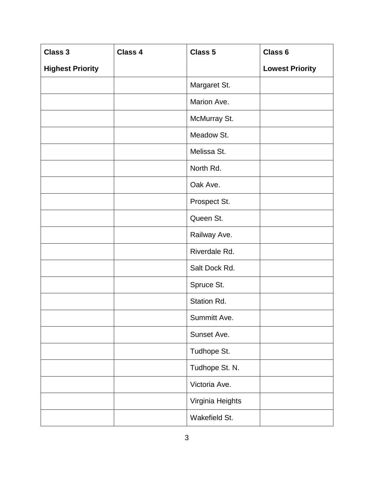| <b>Class 3</b>          | Class 4 | Class 5          | Class 6                |
|-------------------------|---------|------------------|------------------------|
| <b>Highest Priority</b> |         |                  | <b>Lowest Priority</b> |
|                         |         | Margaret St.     |                        |
|                         |         | Marion Ave.      |                        |
|                         |         | McMurray St.     |                        |
|                         |         | Meadow St.       |                        |
|                         |         | Melissa St.      |                        |
|                         |         | North Rd.        |                        |
|                         |         | Oak Ave.         |                        |
|                         |         | Prospect St.     |                        |
|                         |         | Queen St.        |                        |
|                         |         | Railway Ave.     |                        |
|                         |         | Riverdale Rd.    |                        |
|                         |         | Salt Dock Rd.    |                        |
|                         |         | Spruce St.       |                        |
|                         |         | Station Rd.      |                        |
|                         |         | Summitt Ave.     |                        |
|                         |         | Sunset Ave.      |                        |
|                         |         | Tudhope St.      |                        |
|                         |         | Tudhope St. N.   |                        |
|                         |         | Victoria Ave.    |                        |
|                         |         | Virginia Heights |                        |
|                         |         | Wakefield St.    |                        |